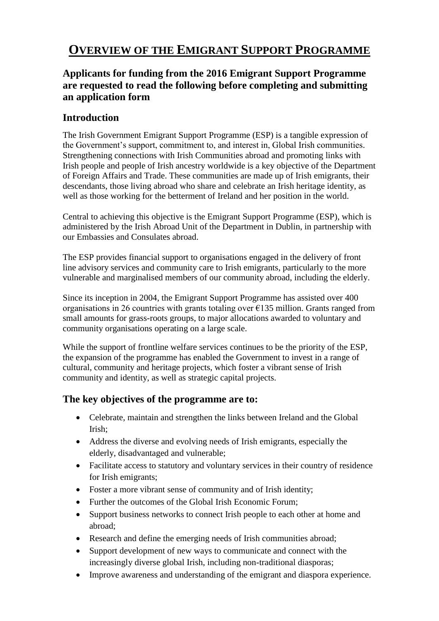# **OVERVIEW OF THE EMIGRANT SUPPORT PROGRAMME**

# **Applicants for funding from the 2016 Emigrant Support Programme are requested to read the following before completing and submitting an application form**

### **Introduction**

The Irish Government Emigrant Support Programme (ESP) is a tangible expression of the Government's support, commitment to, and interest in, Global Irish communities. Strengthening connections with Irish Communities abroad and promoting links with Irish people and people of Irish ancestry worldwide is a key objective of the Department of Foreign Affairs and Trade. These communities are made up of Irish emigrants, their descendants, those living abroad who share and celebrate an Irish heritage identity, as well as those working for the betterment of Ireland and her position in the world.

Central to achieving this objective is the Emigrant Support Programme (ESP), which is administered by the Irish Abroad Unit of the Department in Dublin, in partnership with our Embassies and Consulates abroad.

The ESP provides financial support to organisations engaged in the delivery of front line advisory services and community care to Irish emigrants, particularly to the more vulnerable and marginalised members of our community abroad, including the elderly.

Since its inception in 2004, the Emigrant Support Programme has assisted over 400 organisations in 26 countries with grants totaling over  $\epsilon$ 135 million. Grants ranged from small amounts for grass-roots groups, to major allocations awarded to voluntary and community organisations operating on a large scale.

While the support of frontline welfare services continues to be the priority of the ESP, the expansion of the programme has enabled the Government to invest in a range of cultural, community and heritage projects, which foster a vibrant sense of Irish community and identity, as well as strategic capital projects.

# **The key objectives of the programme are to:**

- Celebrate, maintain and strengthen the links between Ireland and the Global Irish;
- Address the diverse and evolving needs of Irish emigrants, especially the elderly, disadvantaged and vulnerable;
- Facilitate access to statutory and voluntary services in their country of residence for Irish emigrants;
- Foster a more vibrant sense of community and of Irish identity;
- Further the outcomes of the Global Irish Economic Forum;
- Support business networks to connect Irish people to each other at home and abroad;
- Research and define the emerging needs of Irish communities abroad;
- Support development of new ways to communicate and connect with the increasingly diverse global Irish, including non-traditional diasporas;
- Improve awareness and understanding of the emigrant and diaspora experience.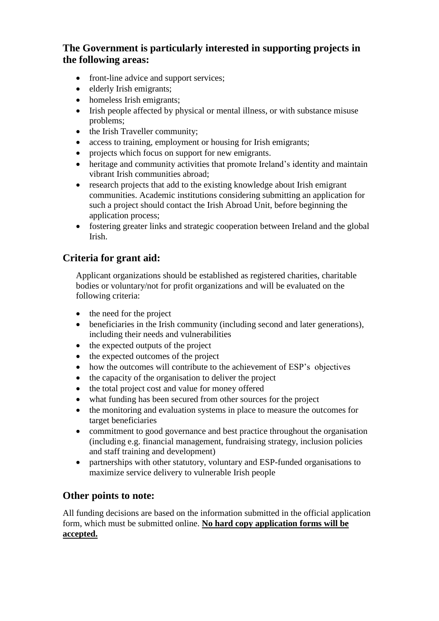# **The Government is particularly interested in supporting projects in the following areas:**

- front-line advice and support services:
- elderly Irish emigrants;
- homeless Irish emigrants;
- Irish people affected by physical or mental illness, or with substance misuse problems;
- the Irish Traveller community;
- access to training, employment or housing for Irish emigrants;
- projects which focus on support for new emigrants.
- heritage and community activities that promote Ireland's identity and maintain vibrant Irish communities abroad;
- research projects that add to the existing knowledge about Irish emigrant communities. Academic institutions considering submitting an application for such a project should contact the Irish Abroad Unit, before beginning the application process;
- fostering greater links and strategic cooperation between Ireland and the global Irish.

# **Criteria for grant aid:**

Applicant organizations should be established as registered charities, charitable bodies or voluntary/not for profit organizations and will be evaluated on the following criteria:

- $\bullet$  the need for the project
- beneficiaries in the Irish community (including second and later generations), including their needs and vulnerabilities
- $\bullet$  the expected outputs of the project
- the expected outcomes of the project
- how the outcomes will contribute to the achievement of ESP's objectives
- the capacity of the organisation to deliver the project
- the total project cost and value for money offered
- what funding has been secured from other sources for the project
- the monitoring and evaluation systems in place to measure the outcomes for target beneficiaries
- commitment to good governance and best practice throughout the organisation (including e.g. financial management, fundraising strategy, inclusion policies and staff training and development)
- partnerships with other statutory, voluntary and ESP-funded organisations to maximize service delivery to vulnerable Irish people

### **Other points to note:**

All funding decisions are based on the information submitted in the official application form, which must be submitted online. **No hard copy application forms will be accepted.**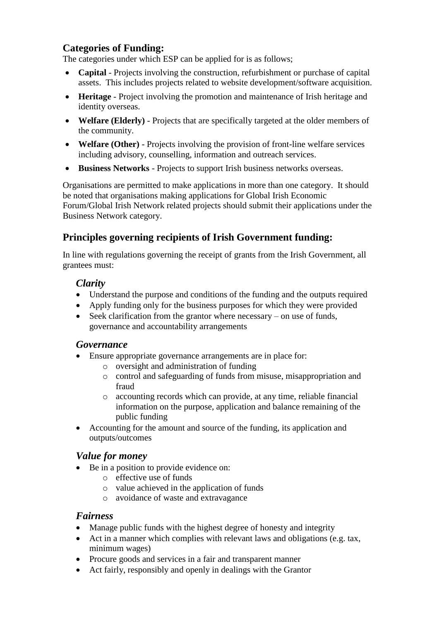# **Categories of Funding:**

The categories under which ESP can be applied for is as follows;

- **Capital** Projects involving the construction, refurbishment or purchase of capital assets. This includes projects related to website development/software acquisition.
- **Heritage**  Project involving the promotion and maintenance of Irish heritage and identity overseas.
- **Welfare (Elderly)** Projects that are specifically targeted at the older members of the community.
- **Welfare (Other)** Projects involving the provision of front-line welfare services including advisory, counselling, information and outreach services.
- **Business Networks** Projects to support Irish business networks overseas.

Organisations are permitted to make applications in more than one category. It should be noted that organisations making applications for Global Irish Economic Forum/Global Irish Network related projects should submit their applications under the Business Network category.

# **Principles governing recipients of Irish Government funding:**

In line with regulations governing the receipt of grants from the Irish Government, all grantees must:

### *Clarity*

- Understand the purpose and conditions of the funding and the outputs required
- Apply funding only for the business purposes for which they were provided
- Seek clarification from the grantor where necessary on use of funds, governance and accountability arrangements

#### *Governance*

- Ensure appropriate governance arrangements are in place for:
	- o oversight and administration of funding
	- o control and safeguarding of funds from misuse, misappropriation and fraud
	- o accounting records which can provide, at any time, reliable financial information on the purpose, application and balance remaining of the public funding
- Accounting for the amount and source of the funding, its application and outputs/outcomes

### *Value for money*

- Be in a position to provide evidence on:
	- o effective use of funds
	- o value achieved in the application of funds
	- o avoidance of waste and extravagance

#### *Fairness*

- Manage public funds with the highest degree of honesty and integrity
- Act in a manner which complies with relevant laws and obligations (e.g. tax, minimum wages)
- Procure goods and services in a fair and transparent manner
- Act fairly, responsibly and openly in dealings with the Grantor